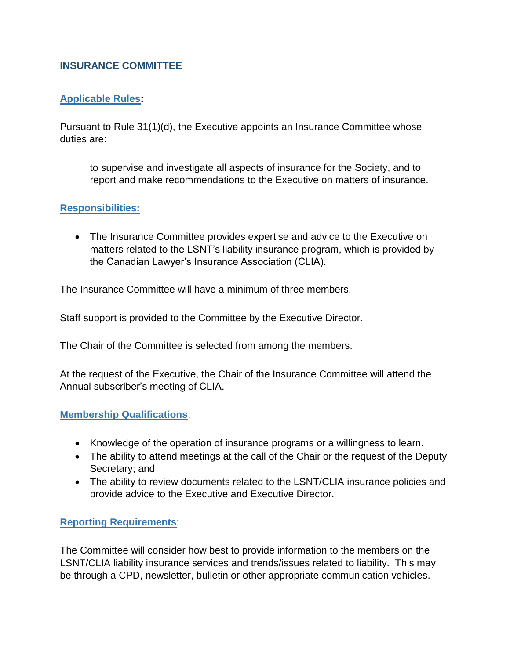# **INSURANCE COMMITTEE**

## **Applicable Rules:**

Pursuant to Rule 31(1)(d), the Executive appoints an Insurance Committee whose duties are:

to supervise and investigate all aspects of insurance for the Society, and to report and make recommendations to the Executive on matters of insurance.

### **Responsibilities:**

 The Insurance Committee provides expertise and advice to the Executive on matters related to the LSNT's liability insurance program, which is provided by the Canadian Lawyer's Insurance Association (CLIA).

The Insurance Committee will have a minimum of three members.

Staff support is provided to the Committee by the Executive Director.

The Chair of the Committee is selected from among the members.

At the request of the Executive, the Chair of the Insurance Committee will attend the Annual subscriber's meeting of CLIA.

### **Membership Qualifications**:

- Knowledge of the operation of insurance programs or a willingness to learn.
- The ability to attend meetings at the call of the Chair or the request of the Deputy Secretary; and
- The ability to review documents related to the LSNT/CLIA insurance policies and provide advice to the Executive and Executive Director.

### **Reporting Requirements**:

The Committee will consider how best to provide information to the members on the LSNT/CLIA liability insurance services and trends/issues related to liability. This may be through a CPD, newsletter, bulletin or other appropriate communication vehicles.